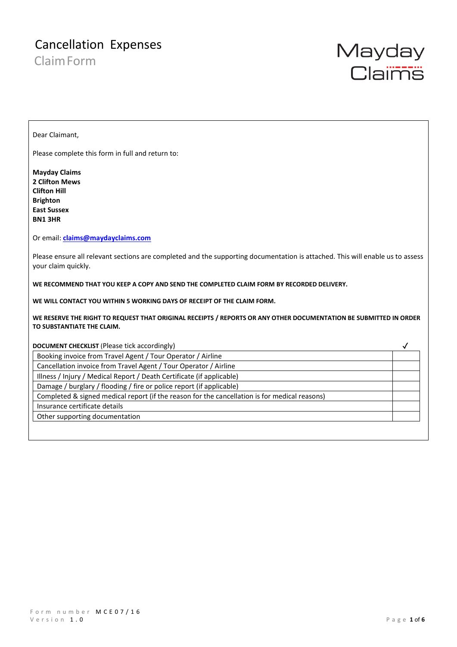# Cancellation Expenses

ClaimForm



Dear Claimant,

Please complete this form in full and return to:

**Mayday Claims 2 Clifton Mews Clifton Hill Brighton East Sussex BN1 3HR**

Or email: **[claims@maydayclaims.com](mailto:claims@maydayclaims.com)**

Please ensure all relevant sections are completed and the supporting documentation is attached. This will enable us to assess your claim quickly.

**WE RECOMMEND THAT YOU KEEP A COPY AND SEND THE COMPLETED CLAIM FORM BY RECORDED DELIVERY.**

**WE WILL CONTACT YOU WITHIN 5 WORKING DAYS OF RECEIPT OF THE CLAIM FORM.**

**WE RESERVE THE RIGHT TO REQUEST THAT ORIGINAL RECEIPTS / REPORTS OR ANY OTHER DOCUMENTATION BE SUBMITTED IN ORDER TO SUBSTANTIATE THE CLAIM.**

| <b>DOCUMENT CHECKLIST</b> (Please tick accordingly)                                           |  |
|-----------------------------------------------------------------------------------------------|--|
| Booking invoice from Travel Agent / Tour Operator / Airline                                   |  |
| Cancellation invoice from Travel Agent / Tour Operator / Airline                              |  |
| Illness / Injury / Medical Report / Death Certificate (if applicable)                         |  |
| Damage / burglary / flooding / fire or police report (if applicable)                          |  |
| Completed & signed medical report (if the reason for the cancellation is for medical reasons) |  |
| Insurance certificate details                                                                 |  |
| Other supporting documentation                                                                |  |
|                                                                                               |  |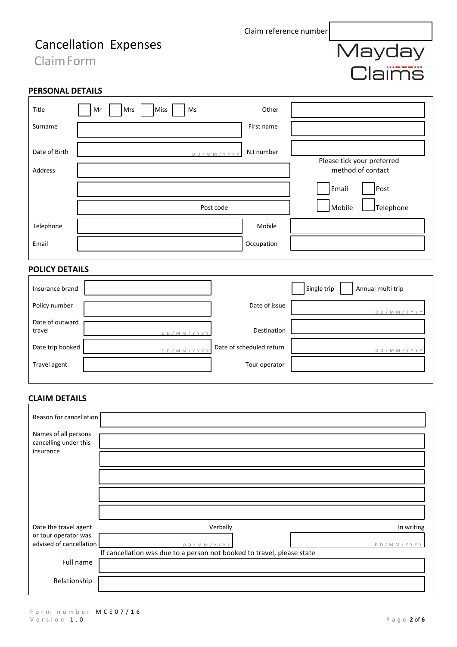Claim reference number

## Cancellation Expenses

ClaimForm

| vlavo |  |     |  |
|-------|--|-----|--|
|       |  | aın |  |

#### **PERSONAL DETAILS**

| Title         | <b>Miss</b><br>Other<br>Mrs<br>Ms<br>Mr |                            |
|---------------|-----------------------------------------|----------------------------|
| Surname       | First name                              |                            |
| Date of Birth | N.I number<br>DD/MM/YYYY                | Please tick your preferred |
| Address       |                                         | method of contact          |
|               |                                         | Email<br>Post              |
|               | Post code                               | Mobile<br>Telephone        |
| Telephone     | Mobile                                  |                            |
| Email         | Occupation                              |                            |

#### **POLICY DETAILS**

| Insurance brand           |            |                          | Single trip<br>Annual multi trip |
|---------------------------|------------|--------------------------|----------------------------------|
| Policy number             |            | Date of issue            | DD/MM/YYYY                       |
| Date of outward<br>travel | DD/MM/YYYY | Destination              |                                  |
| Date trip booked          | DD/MM/YYYY | Date of scheduled return | DD/MM/YYYY                       |
| Travel agent              |            | Tour operator            |                                  |

#### **CLAIM DETAILS**

| Reason for cancellation                                    |                                                                        |                    |
|------------------------------------------------------------|------------------------------------------------------------------------|--------------------|
| Names of all persons<br>cancelling under this<br>insurance |                                                                        |                    |
|                                                            |                                                                        |                    |
|                                                            |                                                                        |                    |
|                                                            |                                                                        |                    |
| Date the travel agent                                      | Verbally                                                               | In writing         |
| or tour operator was<br>advised of cancellation            | DD/MM/YYYY                                                             | DD / M M / Y Y Y Y |
|                                                            | If cancellation was due to a person not booked to travel, please state |                    |
| Full name                                                  |                                                                        |                    |
| Relationship                                               |                                                                        |                    |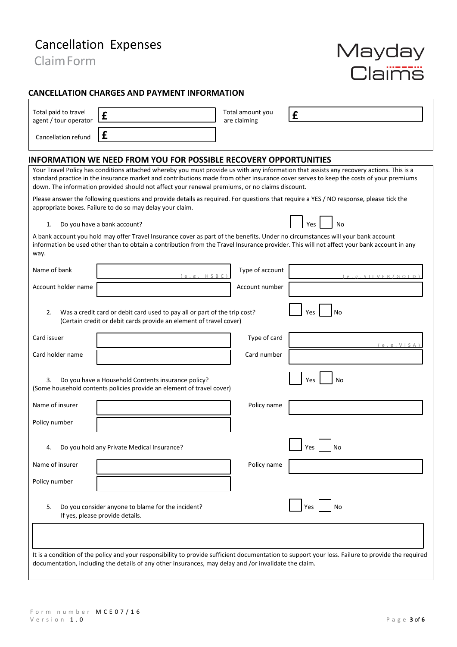# Cancellation Expenses

ClaimForm

# Mayday Claims

### **CANCELLATION CHARGES AND PAYMENT INFORMATION**

| Total paid to travel<br>£<br>agent / tour operator                                                                                                                                                                                                                                                                                                                                  | Total amount you<br>are claiming | £           |
|-------------------------------------------------------------------------------------------------------------------------------------------------------------------------------------------------------------------------------------------------------------------------------------------------------------------------------------------------------------------------------------|----------------------------------|-------------|
| £<br>Cancellation refund                                                                                                                                                                                                                                                                                                                                                            |                                  |             |
|                                                                                                                                                                                                                                                                                                                                                                                     |                                  |             |
| <b>INFORMATION WE NEED FROM YOU FOR POSSIBLE RECOVERY OPPORTUNITIES</b>                                                                                                                                                                                                                                                                                                             |                                  |             |
| Your Travel Policy has conditions attached whereby you must provide us with any information that assists any recovery actions. This is a<br>standard practice in the insurance market and contributions made from other insurance cover serves to keep the costs of your premiums<br>down. The information provided should not affect your renewal premiums, or no claims discount. |                                  |             |
| Please answer the following questions and provide details as required. For questions that require a YES / NO response, please tick the<br>appropriate boxes. Failure to do so may delay your claim.                                                                                                                                                                                 |                                  |             |
| Do you have a bank account?<br>1.                                                                                                                                                                                                                                                                                                                                                   |                                  | Yes<br>No   |
| A bank account you hold may offer Travel Insurance cover as part of the benefits. Under no circumstances will your bank account<br>information be used other than to obtain a contribution from the Travel Insurance provider. This will not affect your bank account in any<br>way.                                                                                                |                                  |             |
| Name of bank                                                                                                                                                                                                                                                                                                                                                                        | Type of account<br>HSBC          | SILVER/GOLD |
| Account holder name                                                                                                                                                                                                                                                                                                                                                                 | Account number                   |             |
| Was a credit card or debit card used to pay all or part of the trip cost?<br>2.<br>(Certain credit or debit cards provide an element of travel cover)                                                                                                                                                                                                                               |                                  | No<br>Yes   |
| Card issuer                                                                                                                                                                                                                                                                                                                                                                         | Type of card                     |             |
| Card holder name                                                                                                                                                                                                                                                                                                                                                                    | Card number                      |             |
| Do you have a Household Contents insurance policy?<br>3.<br>(Some household contents policies provide an element of travel cover)                                                                                                                                                                                                                                                   |                                  | No<br>Yes   |
| Name of insurer                                                                                                                                                                                                                                                                                                                                                                     | Policy name                      |             |
| Policy number                                                                                                                                                                                                                                                                                                                                                                       |                                  |             |
| Do you hold any Private Medical Insurance?                                                                                                                                                                                                                                                                                                                                          |                                  | Yes L<br>No |
| Name of insurer                                                                                                                                                                                                                                                                                                                                                                     | Policy name                      |             |
| Policy number                                                                                                                                                                                                                                                                                                                                                                       |                                  |             |
| Do you consider anyone to blame for the incident?<br>5.<br>If yes, please provide details.                                                                                                                                                                                                                                                                                          |                                  | No<br>Yes   |
|                                                                                                                                                                                                                                                                                                                                                                                     |                                  |             |
| It is a condition of the policy and your responsibility to provide sufficient documentation to support your loss. Failure to provide the required<br>documentation, including the details of any other insurances, may delay and /or invalidate the claim.                                                                                                                          |                                  |             |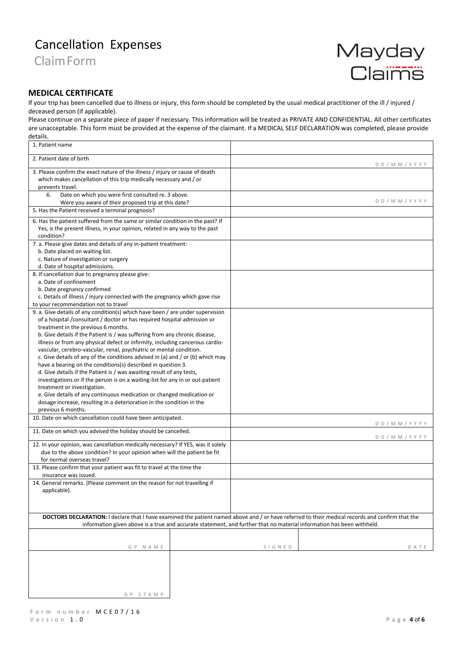# Cancellation Expenses

ClaimForm

## Mayday Claims

#### **MEDICAL CERTIFICATE**

If your trip has been cancelled due to illness or injury, this form should be completed by the usual medical practitioner of the ill / injured / deceased person (if applicable).

Please continue on a separate piece of paper if necessary. This information will be treated as PRIVATE AND CONFIDENTIAL. All other certificates are unacceptable. This form must be provided at the expense of the claimant. If a MEDICAL SELF DECLARATION was completed, please provide details.

| 1. Patient name                                                                                                                                                                                                                                                                                                                                                                                                                                                                                                                                                                                                                                                                                                                                                                                                                                                                                                                                              |        |                     |
|--------------------------------------------------------------------------------------------------------------------------------------------------------------------------------------------------------------------------------------------------------------------------------------------------------------------------------------------------------------------------------------------------------------------------------------------------------------------------------------------------------------------------------------------------------------------------------------------------------------------------------------------------------------------------------------------------------------------------------------------------------------------------------------------------------------------------------------------------------------------------------------------------------------------------------------------------------------|--------|---------------------|
| 2. Patient date of birth                                                                                                                                                                                                                                                                                                                                                                                                                                                                                                                                                                                                                                                                                                                                                                                                                                                                                                                                     |        | D D / M M / Y Y Y Y |
| 3. Please confirm the exact nature of the illness / injury or cause of death<br>which makes cancellation of this trip medically necessary and / or<br>prevents travel.                                                                                                                                                                                                                                                                                                                                                                                                                                                                                                                                                                                                                                                                                                                                                                                       |        |                     |
| Date on which you were first consulted re. 3 above.<br>6.<br>Were you aware of their proposed trip at this date?                                                                                                                                                                                                                                                                                                                                                                                                                                                                                                                                                                                                                                                                                                                                                                                                                                             |        | D D / M M / Y Y Y   |
| 5. Has the Patient received a terminal prognosis?                                                                                                                                                                                                                                                                                                                                                                                                                                                                                                                                                                                                                                                                                                                                                                                                                                                                                                            |        |                     |
| 6. Has the patient suffered from the same or similar condition in the past? If<br>Yes, is the present illness, in your opinion, related in any way to the past<br>condition?                                                                                                                                                                                                                                                                                                                                                                                                                                                                                                                                                                                                                                                                                                                                                                                 |        |                     |
| 7. a. Please give dates and details of any in-patient treatment:<br>b. Date placed on waiting list.<br>c. Nature of investigation or surgery<br>d. Date of hospital admissions.                                                                                                                                                                                                                                                                                                                                                                                                                                                                                                                                                                                                                                                                                                                                                                              |        |                     |
| 8. If cancellation due to pregnancy please give:<br>a. Date of confinement<br>b. Date pregnancy confirmed<br>c. Details of illness / injury connected with the pregnancy which gave rise<br>to your recommendation not to travel                                                                                                                                                                                                                                                                                                                                                                                                                                                                                                                                                                                                                                                                                                                             |        |                     |
| 9. a. Give details of any condition(s) which have been / are under supervision<br>of a hospital /consultant / doctor or has required hospital admission or<br>treatment in the previous 6 months.<br>b. Give details if the Patient is / was suffering from any chronic disease,<br>illness or from any physical defect or infirmity, including cancerous cardio-<br>vascular, cerebro-vascular, renal, psychiatric or mental condition.<br>c. Give details of any of the conditions advised in (a) and / or (b) which may<br>have a bearing on the conditions(s) described in question 3.<br>d. Give details if the Patient is / was awaiting result of any tests,<br>investigations or if the person is on a waiting-list for any in or out-patient<br>treatment or investigation.<br>e. Give details of any continuous medication or changed medication or<br>dosage increase, resulting in a deterioration in the condition in the<br>previous 6 months. |        |                     |
| 10. Date on which cancellation could have been anticipated.                                                                                                                                                                                                                                                                                                                                                                                                                                                                                                                                                                                                                                                                                                                                                                                                                                                                                                  |        | D D / M M / Y Y Y Y |
| 11. Date on which you advised the holiday should be cancelled.                                                                                                                                                                                                                                                                                                                                                                                                                                                                                                                                                                                                                                                                                                                                                                                                                                                                                               |        | D D / M M / Y Y Y Y |
| 12. In your opinion, was cancellation medically necessary? If YES, was it solely<br>due to the above condition? In your opinion when will the patient be fit<br>for normal overseas travel?                                                                                                                                                                                                                                                                                                                                                                                                                                                                                                                                                                                                                                                                                                                                                                  |        |                     |
| 13. Please confirm that your patient was fit to travel at the time the                                                                                                                                                                                                                                                                                                                                                                                                                                                                                                                                                                                                                                                                                                                                                                                                                                                                                       |        |                     |
| insurance was issued.<br>14. General remarks. (Please comment on the reason for not travelling if<br>applicable).                                                                                                                                                                                                                                                                                                                                                                                                                                                                                                                                                                                                                                                                                                                                                                                                                                            |        |                     |
| <b>DOCTORS DECLARATION:</b> I declare that I have examined the patient named above and / or have referred to their medical records and confirm that the<br>information given above is a true and accurate statement, and further that no material information has been withheld.                                                                                                                                                                                                                                                                                                                                                                                                                                                                                                                                                                                                                                                                             |        |                     |
| GP NAME                                                                                                                                                                                                                                                                                                                                                                                                                                                                                                                                                                                                                                                                                                                                                                                                                                                                                                                                                      | SIGNED | DATE                |
|                                                                                                                                                                                                                                                                                                                                                                                                                                                                                                                                                                                                                                                                                                                                                                                                                                                                                                                                                              |        |                     |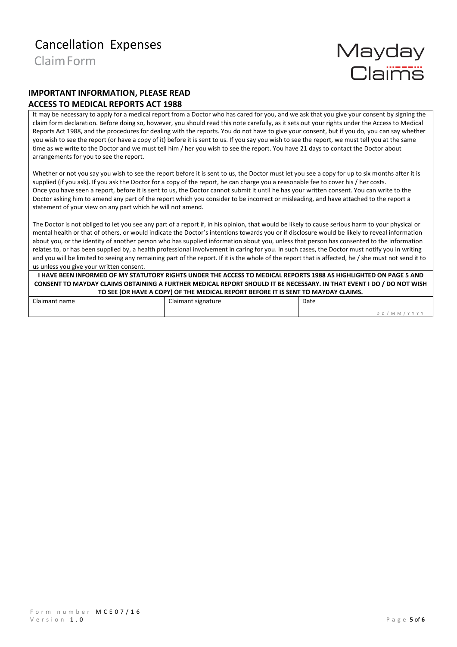## Cancellation Expenses ClaimForm

## Mayday  $C$ laims

#### **IMPORTANT INFORMATION, PLEASE READ ACCESS TO MEDICAL REPORTS ACT 1988**

It may be necessary to apply for a medical report from a Doctor who has cared for you, and we ask that you give your consent by signing the claim form declaration. Before doing so, however, you should read this note carefully, as it sets out your rights under the Access to Medical Reports Act 1988, and the procedures for dealing with the reports. You do not have to give your consent, but if you do, you can say whether you wish to see the report (or have a copy of it) before it is sent to us. If you say you wish to see the report, we must tell you at the same time as we write to the Doctor and we must tell him / her you wish to see the report. You have 21 days to contact the Doctor about arrangements for you to see the report.

Whether or not you say you wish to see the report before it is sent to us, the Doctor must let you see a copy for up to six months after it is supplied (if you ask). If you ask the Doctor for a copy of the report, he can charge you a reasonable fee to cover his / her costs. Once you have seen a report, before it is sent to us, the Doctor cannot submit it until he has your written consent. You can write to the Doctor asking him to amend any part of the report which you consider to be incorrect or misleading, and have attached to the report a statement of your view on any part which he will not amend.

The Doctor is not obliged to let you see any part of a report if, in his opinion, that would be likely to cause serious harm to your physical or mental health or that of others, or would indicate the Doctor's intentions towards you or if disclosure would be likely to reveal information about you, or the identity of another person who has supplied information about you, unless that person has consented to the information relates to, or has been supplied by, a health professional involvement in caring for you. In such cases, the Doctor must notify you in writing and you will be limited to seeing any remaining part of the report. If it is the whole of the report that is affected, he / she must not send it to us unless you give your written consent.

**I HAVE BEEN INFORMED OF MY STATUTORY RIGHTS UNDER THE ACCESS TO MEDICAL REPORTS 1988 AS HIGHLIGHTED ON PAGE 5 AND CONSENT TO MAYDAY CLAIMS OBTAINING A FURTHER MEDICAL REPORT SHOULD IT BE NECESSARY. IN THAT EVENT I DO / DO NOT WISH TO SEE (OR HAVE A COPY) OF THE MEDICAL REPORT BEFORE IT IS SENT TO MAYDAY CLAIMS.**

| Claimant name | $\sim$<br>Claimant signature | Date |                   |
|---------------|------------------------------|------|-------------------|
|               |                              |      | $\sim$ M iv.<br>◡ |